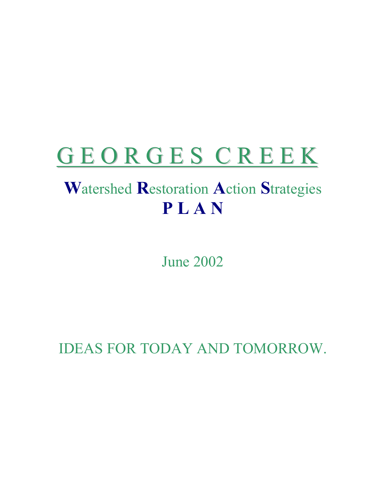# GEORGES CREEK

# **W**atershed **R**estoration **A**ction **S**trategies **P L A N**

June 2002

IDEAS FOR TODAY AND TOMORROW.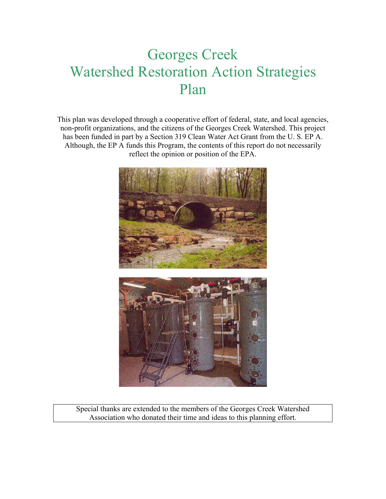# Georges Creek Watershed Restoration Action Strategies Plan

This plan was developed through a cooperative effort of federal, state, and local agencies, non-profit organizations, and the citizens of the Georges Creek Watershed. This project has been funded in part by a Section 319 Clean Water Act Grant from the U. S. EP A. Although, the EP A funds this Program, the contents of this report do not necessarily reflect the opinion or position of the EPA.



Special thanks are extended to the members of the Georges Creek Watershed Association who donated their time and ideas to this planning effort.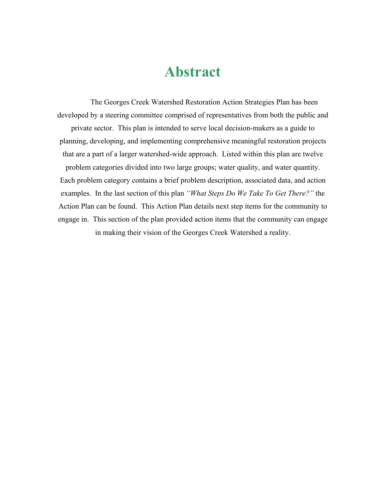# **Abstract**

 The Georges Creek Watershed Restoration Action Strategies Plan has been developed by a steering committee comprised of representatives from both the public and private sector. This plan is intended to serve local decision-makers as a guide to planning, developing, and implementing comprehensive meaningful restoration projects that are a part of a larger watershed-wide approach. Listed within this plan are twelve problem categories divided into two large groups; water quality, and water quantity. Each problem category contains a brief problem description, associated data, and action examples. In the last section of this plan *"What Steps Do We Take To Get There?"* the Action Plan can be found. This Action Plan details next step items for the community to engage in. This section of the plan provided action items that the community can engage in making their vision of the Georges Creek Watershed a reality.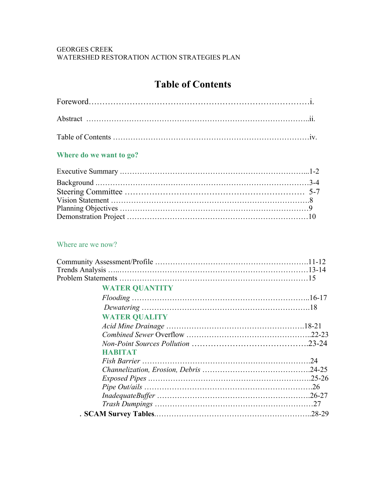#### GEORGES CREEK WATERSHED RESTORATION ACTION STRATEGIES PLAN

# **Table of Contents**

# **Where do we want to go?**

# Where are we now?

| <b>WATER QUANTITY</b> |  |
|-----------------------|--|
|                       |  |
|                       |  |
| <b>WATER QUALITY</b>  |  |
|                       |  |
|                       |  |
|                       |  |
| <b>HABITAT</b>        |  |
|                       |  |
|                       |  |
|                       |  |
|                       |  |
|                       |  |
|                       |  |
|                       |  |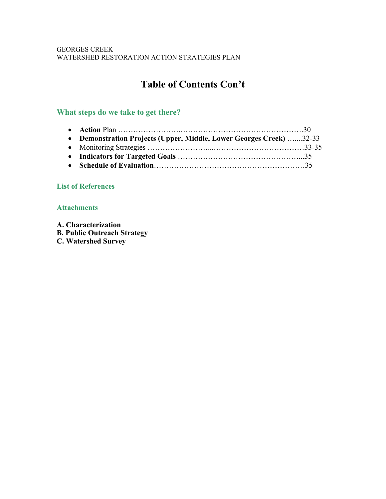#### GEORGES CREEK WATERSHED RESTORATION ACTION STRATEGIES PLAN

# **Table of Contents Con't**

# **What steps do we take to get there?**

| • Demonstration Projects (Upper, Middle, Lower Georges Creek) 32-33 |  |
|---------------------------------------------------------------------|--|
|                                                                     |  |
|                                                                     |  |
|                                                                     |  |

# **List of References**

## **Attachments**

**A. Characterization B. Public Outreach Strategy C. Watershed Survey**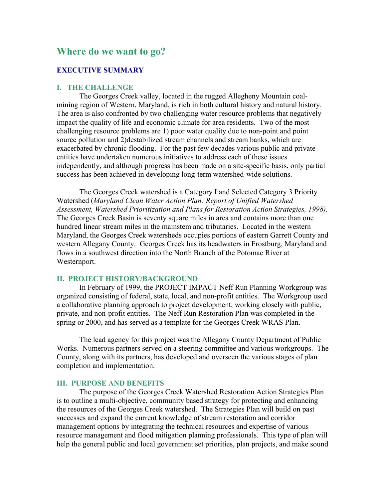# **Where do we want to go?**

#### **EXECUTIVE SUMMARY**

#### **I. THE CHALLENGE**

The Georges Creek valley, located in the rugged Allegheny Mountain coalmining region of Western, Maryland, is rich in both cultural history and natural history. The area is also confronted by two challenging water resource problems that negatively impact the quality of life and economic climate for area residents. Two of the most challenging resource problems are 1) poor water quality due to non-point and point source pollution and 2)destabilized stream channels and stream banks, which are exacerbated by chronic flooding. For the past few decades various public and private entities have undertaken numerous initiatives to address each of these issues independently, and although progress has been made on a site-specific basis, only partial success has been achieved in developing long-term watershed-wide solutions.

The Georges Creek watershed is a Category I and Selected Category 3 Priority Watershed (*Maryland Clean Water Action Plan: Report of Unified Watershed Assessment, Watershed Prioritization and Plans for Restoration Action Strategies, 1998).*  The Georges Creek Basin is seventy square miles in area and contains more than one hundred linear stream miles in the mainstem and tributaries. Located in the western Maryland, the Georges Creek watersheds occupies portions of eastern Garrett County and western Allegany County. Georges Creek has its headwaters in Frostburg, Maryland and flows in a southwest direction into the North Branch of the Potomac River at Westernport.

#### **II. PROJECT HISTORY/BACKGROUND**

 In February of 1999, the PROJECT IMPACT Neff Run Planning Workgroup was organized consisting of federal, state, local, and non-profit entities. The Workgroup used a collaborative planning approach to project development, working closely with public, private, and non-profit entities. The Neff Run Restoration Plan was completed in the spring or 2000, and has served as a template for the Georges Creek WRAS Plan.

The lead agency for this project was the Allegany County Department of Public Works. Numerous partners served on a steering committee and various workgroups. The County, along with its partners, has developed and overseen the various stages of plan completion and implementation.

#### **III. PURPOSE AND BENEFITS**

The purpose of the Georges Creek Watershed Restoration Action Strategies Plan is to outline a multi-objective, community based strategy for protecting and enhancing the resources of the Georges Creek watershed. The Strategies Plan will build on past successes and expand the current knowledge of stream restoration and corridor management options by integrating the technical resources and expertise of various resource management and flood mitigation planning professionals. This type of plan will help the general public and local government set priorities, plan projects, and make sound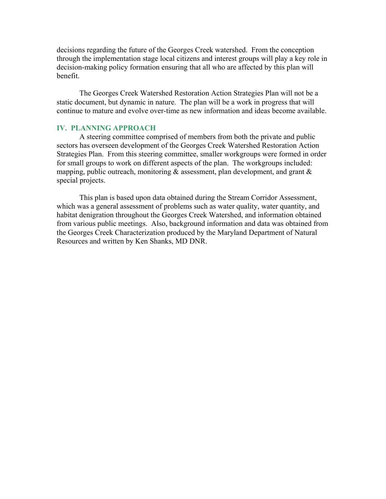decisions regarding the future of the Georges Creek watershed. From the conception through the implementation stage local citizens and interest groups will play a key role in decision-making policy formation ensuring that all who are affected by this plan will benefit.

 The Georges Creek Watershed Restoration Action Strategies Plan will not be a static document, but dynamic in nature. The plan will be a work in progress that will continue to mature and evolve over-time as new information and ideas become available.

#### **IV. PLANNING APPROACH**

 A steering committee comprised of members from both the private and public sectors has overseen development of the Georges Creek Watershed Restoration Action Strategies Plan. From this steering committee, smaller workgroups were formed in order for small groups to work on different aspects of the plan. The workgroups included: mapping, public outreach, monitoring  $\&$  assessment, plan development, and grant  $\&$ special projects.

This plan is based upon data obtained during the Stream Corridor Assessment, which was a general assessment of problems such as water quality, water quantity, and habitat denigration throughout the Georges Creek Watershed, and information obtained from various public meetings. Also, background information and data was obtained from the Georges Creek Characterization produced by the Maryland Department of Natural Resources and written by Ken Shanks, MD DNR.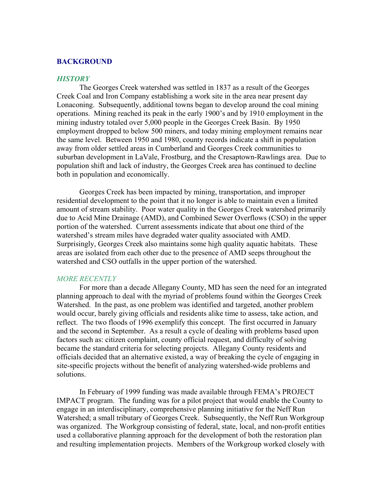#### **BACKGROUND**

#### *HISTORY*

The Georges Creek watershed was settled in 1837 as a result of the Georges Creek Coal and Iron Company establishing a work site in the area near present day Lonaconing. Subsequently, additional towns began to develop around the coal mining operations. Mining reached its peak in the early 1900's and by 1910 employment in the mining industry totaled over 5,000 people in the Georges Creek Basin. By 1950 employment dropped to below 500 miners, and today mining employment remains near the same level. Between 1950 and 1980, county records indicate a shift in population away from older settled areas in Cumberland and Georges Creek communities to suburban development in LaVale, Frostburg, and the Cresaptown-Rawlings area. Due to population shift and lack of industry, the Georges Creek area has continued to decline both in population and economically.

Georges Creek has been impacted by mining, transportation, and improper residential development to the point that it no longer is able to maintain even a limited amount of stream stability. Poor water quality in the Georges Creek watershed primarily due to Acid Mine Drainage (AMD), and Combined Sewer Overflows (CSO) in the upper portion of the watershed. Current assessments indicate that about one third of the watershed's stream miles have degraded water quality associated with AMD. Surprisingly, Georges Creek also maintains some high quality aquatic habitats. These areas are isolated from each other due to the presence of AMD seeps throughout the watershed and CSO outfalls in the upper portion of the watershed.

#### *MORE RECENTLY*

For more than a decade Allegany County, MD has seen the need for an integrated planning approach to deal with the myriad of problems found within the Georges Creek Watershed. In the past, as one problem was identified and targeted, another problem would occur, barely giving officials and residents alike time to assess, take action, and reflect. The two floods of 1996 exemplify this concept. The first occurred in January and the second in September. As a result a cycle of dealing with problems based upon factors such as: citizen complaint, county official request, and difficulty of solving became the standard criteria for selecting projects. Allegany County residents and officials decided that an alternative existed, a way of breaking the cycle of engaging in site-specific projects without the benefit of analyzing watershed-wide problems and solutions.

In February of 1999 funding was made available through FEMA's PROJECT IMPACT program. The funding was for a pilot project that would enable the County to engage in an interdisciplinary, comprehensive planning initiative for the Neff Run Watershed; a small tributary of Georges Creek. Subsequently, the Neff Run Workgroup was organized. The Workgroup consisting of federal, state, local, and non-profit entities used a collaborative planning approach for the development of both the restoration plan and resulting implementation projects. Members of the Workgroup worked closely with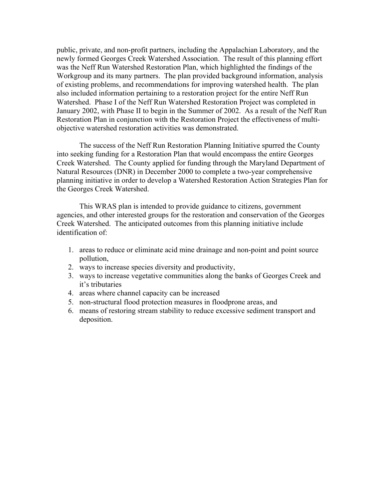public, private, and non-profit partners, including the Appalachian Laboratory, and the newly formed Georges Creek Watershed Association. The result of this planning effort was the Neff Run Watershed Restoration Plan, which highlighted the findings of the Workgroup and its many partners. The plan provided background information, analysis of existing problems, and recommendations for improving watershed health. The plan also included information pertaining to a restoration project for the entire Neff Run Watershed. Phase I of the Neff Run Watershed Restoration Project was completed in January 2002, with Phase II to begin in the Summer of 2002. As a result of the Neff Run Restoration Plan in conjunction with the Restoration Project the effectiveness of multiobjective watershed restoration activities was demonstrated.

 The success of the Neff Run Restoration Planning Initiative spurred the County into seeking funding for a Restoration Plan that would encompass the entire Georges Creek Watershed. The County applied for funding through the Maryland Department of Natural Resources (DNR) in December 2000 to complete a two-year comprehensive planning initiative in order to develop a Watershed Restoration Action Strategies Plan for the Georges Creek Watershed.

This WRAS plan is intended to provide guidance to citizens, government agencies, and other interested groups for the restoration and conservation of the Georges Creek Watershed. The anticipated outcomes from this planning initiative include identification of:

- 1. areas to reduce or eliminate acid mine drainage and non-point and point source pollution,
- 2. ways to increase species diversity and productivity,
- 3. ways to increase vegetative communities along the banks of Georges Creek and it's tributaries
- 4. areas where channel capacity can be increased
- 5. non-structural flood protection measures in floodprone areas, and
- 6. means of restoring stream stability to reduce excessive sediment transport and deposition.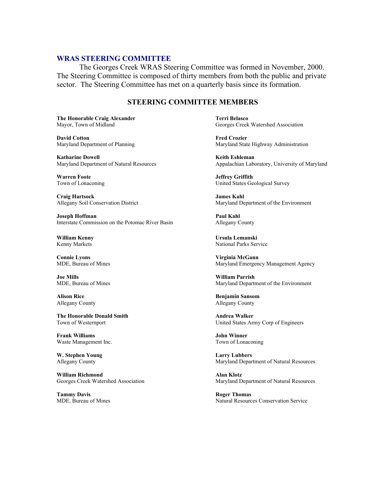#### **WRAS STEERING COMMITTEE**

 The Georges Creek WRAS Steering Committee was formed in November, 2000. The Steering Committee is composed of thirty members from both the public and private sector. The Steering Committee has met on a quarterly basis since its formation.

#### **STEERING COMMITTEE MEMBERS**

**The Honorable Craig Alexander**  Terri Belasco

**David Cotton Fred Crozier Fred Crozier Algebra 2016**<br>Maryland Department of Planning **Fred Crozier** Maryland Stat

**Katharine Dowell Keith Eshleman** 

**Warren Foote** Jeffrey Griffith

**Craig Hartsock James Kahl** 

**Joseph Hoffman Paul Kahl**  Interstate Commission on the Potomac River Basin Allegany County

**Connie Lyons** Virginia McGann<br>
MDE, Bureau of Mines<br>
Maryland Emergen

**Joe Mills William Parrish** 

**The Honorable Donald Smith Andrea Walker Town of Westernport Communisty Communisty Communisty Communisty Communisty Communisty Communisty Communisty Communisty Communisty Communisty Communisty Communisty Communisty Commun** 

**Frank Williams John Winner**  Waste Management Inc. Town of Lonaconing

**W. Stephen Young Larry Lubbers**<br>
Allegany County **Larry Lubbers**<br>
Maryland Depar

**William Richmond Alan Klotz** 

**Tammy Davis** Roger Thomas

Mayor, Town of Midland Georges Creek Watershed Association

Maryland State Highway Administration

Maryland Department of Natural Resources Appalachian Laboratory, University of Maryland

Town of Lonaconing United States Geological Survey

Allegany Soil Conservation District Maryland Department of the Environment

**William Kenny Ursula Lemanski**  Kenny Markets National Parks Service

Maryland Emergency Management Agency

MDE, Bureau of Mines Maryland Department of the Environment

**Alison Rice Benjamin Sansom Benjamin Sansom** Allegany County Allegany County

United States Army Corp of Engineers

Maryland Department of Natural Resources

Georges Creek Watershed Association Maryland Department of Natural Resources

MDE, Bureau of Mines Natural Resources Conservation Service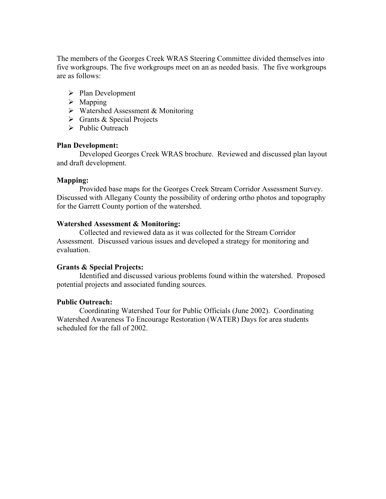The members of the Georges Creek WRAS Steering Committee divided themselves into five workgroups. The five workgroups meet on an as needed basis. The five workgroups are as follows:

- $\triangleright$  Plan Development
- $\triangleright$  Mapping
- $\triangleright$  Watershed Assessment & Monitoring
- $\triangleright$  Grants & Special Projects
- $\triangleright$  Public Outreach

#### **Plan Development:**

 Developed Georges Creek WRAS brochure. Reviewed and discussed plan layout and draft development.

#### **Mapping:**

 Provided base maps for the Georges Creek Stream Corridor Assessment Survey. Discussed with Allegany County the possibility of ordering ortho photos and topography for the Garrett County portion of the watershed.

#### **Watershed Assessment & Monitoring:**

 Collected and reviewed data as it was collected for the Stream Corridor Assessment. Discussed various issues and developed a strategy for monitoring and evaluation.

#### **Grants & Special Projects:**

 Identified and discussed various problems found within the watershed. Proposed potential projects and associated funding sources.

#### **Public Outreach:**

 Coordinating Watershed Tour for Public Officials (June 2002). Coordinating Watershed Awareness To Encourage Restoration (WATER) Days for area students scheduled for the fall of 2002.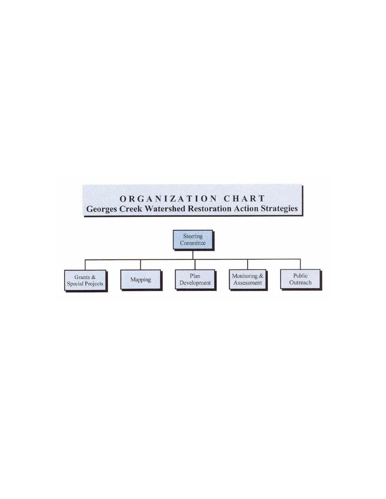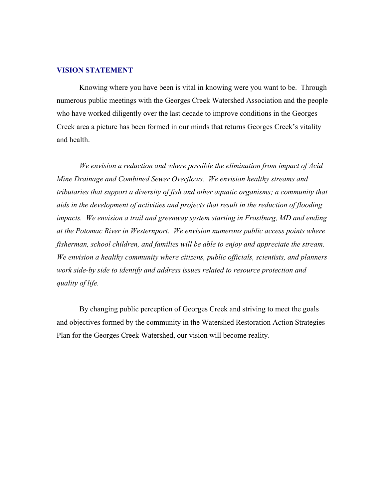#### **VISION STATEMENT**

 Knowing where you have been is vital in knowing were you want to be. Through numerous public meetings with the Georges Creek Watershed Association and the people who have worked diligently over the last decade to improve conditions in the Georges Creek area a picture has been formed in our minds that returns Georges Creek's vitality and health.

*We envision a reduction and where possible the elimination from impact of Acid Mine Drainage and Combined Sewer Overflows. We envision healthy streams and tributaries that support a diversity of fish and other aquatic organisms; a community that aids in the development of activities and projects that result in the reduction of flooding impacts. We envision a trail and greenway system starting in Frostburg, MD and ending at the Potomac River in Westernport. We envision numerous public access points where fisherman, school children, and families will be able to enjoy and appreciate the stream. We envision a healthy community where citizens, public officials, scientists, and planners work side-by side to identify and address issues related to resource protection and quality of life.* 

By changing public perception of Georges Creek and striving to meet the goals and objectives formed by the community in the Watershed Restoration Action Strategies Plan for the Georges Creek Watershed, our vision will become reality.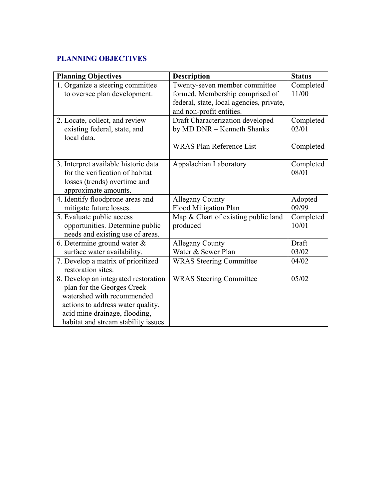# **PLANNING OBJECTIVES**

| <b>Planning Objectives</b>           | <b>Description</b>                       | <b>Status</b> |
|--------------------------------------|------------------------------------------|---------------|
| Organize a steering committee        | Twenty-seven member committee            | Completed     |
| to oversee plan development.         | formed. Membership comprised of          | 11/00         |
|                                      | federal, state, local agencies, private, |               |
|                                      | and non-profit entities.                 |               |
| 2. Locate, collect, and review       | Draft Characterization developed         | Completed     |
| existing federal, state, and         | by MD DNR - Kenneth Shanks               | 02/01         |
| local data.                          |                                          |               |
|                                      | <b>WRAS Plan Reference List</b>          | Completed     |
|                                      |                                          |               |
| 3. Interpret available historic data | Appalachian Laboratory                   | Completed     |
| for the verification of habitat      |                                          | 08/01         |
| losses (trends) overtime and         |                                          |               |
| approximate amounts.                 |                                          |               |
| 4. Identify floodprone areas and     | <b>Allegany County</b>                   | Adopted       |
| mitigate future losses.              | <b>Flood Mitigation Plan</b>             | 09/99         |
| 5. Evaluate public access            | Map & Chart of existing public land      | Completed     |
| opportunities. Determine public      | produced                                 | 10/01         |
| needs and existing use of areas.     |                                          |               |
| 6. Determine ground water $\&$       | <b>Allegany County</b>                   | Draft         |
| surface water availability.          | Water & Sewer Plan                       | 03/02         |
| 7. Develop a matrix of prioritized   | <b>WRAS</b> Steering Committee           | 04/02         |
| restoration sites.                   |                                          |               |
| 8. Develop an integrated restoration | <b>WRAS</b> Steering Committee           | 05/02         |
| plan for the Georges Creek           |                                          |               |
| watershed with recommended           |                                          |               |
| actions to address water quality,    |                                          |               |
| acid mine drainage, flooding,        |                                          |               |
| habitat and stream stability issues. |                                          |               |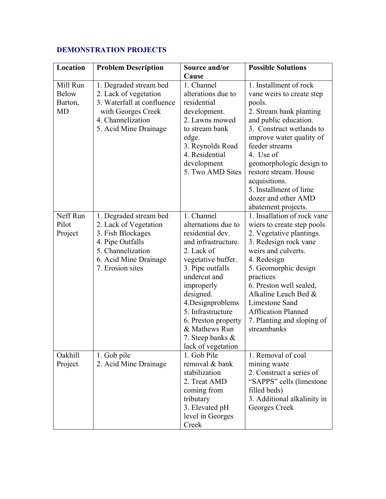# **DEMONSTRATION PROJECTS**

| Location                                         | <b>Problem Description</b>                                                                                                                                 | Source and/or                                                                                                                                                                                                                                                                                                 | <b>Possible Solutions</b>                                                                                                                                                                                                                                                                                                                              |
|--------------------------------------------------|------------------------------------------------------------------------------------------------------------------------------------------------------------|---------------------------------------------------------------------------------------------------------------------------------------------------------------------------------------------------------------------------------------------------------------------------------------------------------------|--------------------------------------------------------------------------------------------------------------------------------------------------------------------------------------------------------------------------------------------------------------------------------------------------------------------------------------------------------|
| Mill Run<br><b>Below</b><br>Barton,<br><b>MD</b> | 1. Degraded stream bed<br>2. Lack of vegetation<br>3. Waterfall at confluence<br>with Georges Creek<br>4. Channelization<br>5. Acid Mine Drainage          | Cause<br>1. Channel<br>alterations due to<br>residential<br>development.<br>2. Lawns mowed<br>to stream bank<br>edge.<br>3. Reynolds Road<br>4. Residential<br>development<br>5. Two AMD Sites                                                                                                                | 1. Installment of rock<br>vane weirs to create step<br>pools.<br>2. Stream bank planting<br>and public education.<br>3. Construct wetlands to<br>improve water quality of<br>feeder streams<br>4. Use of<br>geomorphologic design to<br>restore stream. House<br>acquisitions.<br>5. Installment of lime<br>dozer and other AMD<br>abatement projects. |
| Neff Run<br>Pilot<br>Project                     | 1. Degraded stream bed<br>2. Lack of Vegetation<br>3. Fish Blockages<br>4. Pipe Outfalls<br>5. Channelization<br>6. Acid Mine Drainage<br>7. Erosion sites | 1. Channel<br>alternations due to<br>residential dev.<br>and infrastructure.<br>2. Lack of<br>vegetative buffer.<br>3. Pipe outfalls<br>undercut and<br>improperly<br>designed.<br>4.Designproblems<br>5. Infrastructure<br>6. Preston property<br>& Mathews Run<br>7. Steep banks $\&$<br>lack of vegetation | 1. Insallation of rock vane<br>wiers to create step pools<br>2. Vegetative plantings.<br>3. Redesign rock vane<br>weirs and culverts.<br>4. Redesign<br>5. Geomorphic design<br>practices<br>6. Preston well sealed,<br>Alkaline Leach Bed &<br>Limestone Sand<br><b>Afflication Planned</b><br>7. Planting and sloping of<br>streambanks              |
| Oakhill<br>Project                               | 1. Gob pile<br>2. Acid Mine Drainage                                                                                                                       | 1. Gob Pile<br>removal & bank<br>stabilization<br>2. Treat AMD<br>coming from<br>tributary<br>3. Elevated pH<br>level in Georges<br>Creek                                                                                                                                                                     | 1. Removal of coal<br>mining waste<br>2. Construct a series of<br>"SAPPS" cells (limestone<br>filled beds)<br>3. Additional alkalinity in<br>Georges Creek                                                                                                                                                                                             |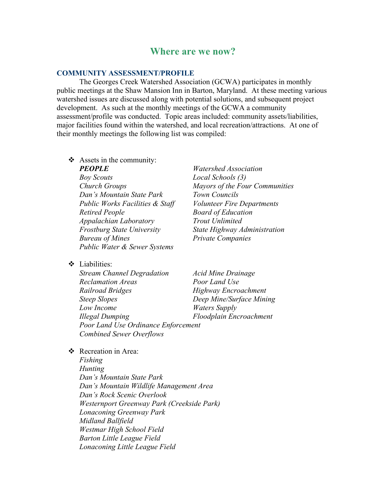# **Where are we now?**

#### **COMMUNITY ASSESSMENT/PROFILE**

 The Georges Creek Watershed Association (GCWA) participates in monthly public meetings at the Shaw Mansion Inn in Barton, Maryland. At these meeting various watershed issues are discussed along with potential solutions, and subsequent project development. As such at the monthly meetings of the GCWA a community assessment/profile was conducted. Topic areas included: community assets/liabilities, major facilities found within the watershed, and local recreation/attractions. At one of their monthly meetings the following list was compiled:

 $\triangleleft$  Assets in the community:

*Boy Scouts Local Schools (3) Dan's Mountain State Park Town Councils Public Works Facilities & Staff Volunteer Fire Departments Retired People Board of Education Appalachian Laboratory Trout Unlimited Frostburg State University State Highway Administration Bureau of Mines Private Companies Public Water & Sewer Systems* 

 $\bullet$  Liabilities:

*Stream Channel Degradation Acid Mine Drainage Reclamation Areas Poor Land Use Railroad Bridges* **Highway Encroachment** *Steep Slopes Deep Mine/Surface Mining Low Income Waters Supply Illegal Dumping Floodplain Encroachment Poor Land Use Ordinance Enforcement Combined Sewer Overflows* 

*PEOPLE Watershed Association Church Groups Mayors of the Four Communities* 

Recreation in Area:

*Fishing Hunting Dan's Mountain State Park Dan's Mountain Wildlife Management Area Dan's Rock Scenic Overlook Westernport Greenway Park (Creekside Park) Lonaconing Greenway Park Midland Ballfield Westmar High School Field Barton Little League Field Lonaconing Little League Field*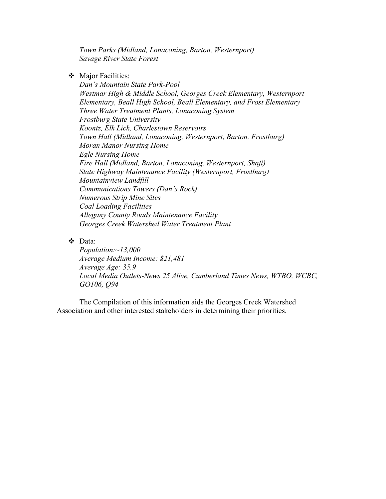*Town Parks (Midland, Lonaconing, Barton, Westernport) Savage River State Forest* 

Major Facilities:

*Dan's Mountain State Park-Pool Westmar High & Middle School, Georges Creek Elementary, Westernport Elementary, Beall High School, Beall Elementary, and Frost Elementary Three Water Treatment Plants, Lonaconing System Frostburg State University Koontz, Elk Lick, Charlestown Reservoirs Town Hall (Midland, Lonaconing, Westernport, Barton, Frostburg) Moran Manor Nursing Home Egle Nursing Home Fire Hall (Midland, Barton, Lonaconing, Westernport, Shaft) State Highway Maintenance Facility (Westernport, Frostburg) Mountainview Landfill Communications Towers (Dan's Rock) Numerous Strip Mine Sites Coal Loading Facilities Allegany County Roads Maintenance Facility Georges Creek Watershed Water Treatment Plant* 

Data:

*Population:~13,000 Average Medium Income: \$21,481 Average Age: 35.9 Local Media Outlets-News 25 Alive, Cumberland Times News, WTBO, WCBC, GO106, Q94* 

The Compilation of this information aids the Georges Creek Watershed Association and other interested stakeholders in determining their priorities.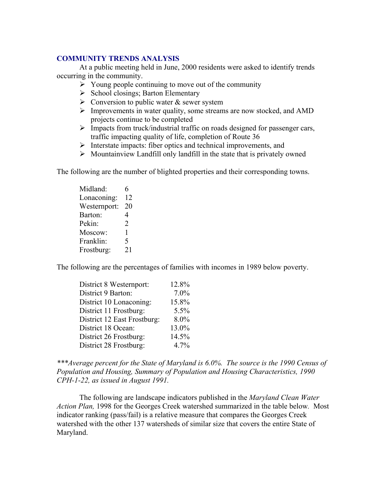#### **COMMUNITY TRENDS ANALYSIS**

 At a public meeting held in June, 2000 residents were asked to identify trends occurring in the community.

- $\triangleright$  Young people continuing to move out of the community
- $\triangleright$  School closings; Barton Elementary
- $\triangleright$  Conversion to public water & sewer system
- $\triangleright$  Improvements in water quality, some streams are now stocked, and AMD projects continue to be completed
- ¾ Impacts from truck/industrial traffic on roads designed for passenger cars, traffic impacting quality of life, completion of Route 36
- $\triangleright$  Interstate impacts: fiber optics and technical improvements, and
- $\triangleright$  Mountainview Landfill only landfill in the state that is privately owned

The following are the number of blighted properties and their corresponding towns.

Midland: 6 Lonaconing: 12 Westernport: 20 Barton: 4 Pekin: 2 Moscow: 1 Franklin: 5 Frostburg: 21

The following are the percentages of families with incomes in 1989 below poverty.

| District 8 Westernport:     | 12.8% |
|-----------------------------|-------|
| District 9 Barton:          | 7.0%  |
| District 10 Lonaconing:     | 15.8% |
| District 11 Frostburg:      | 5.5%  |
| District 12 East Frostburg: | 8.0%  |
| District 18 Ocean:          | 13.0% |
| District 26 Frostburg:      | 14.5% |
| District 28 Frostburg:      | 4.7%  |

*\*\*\*Average percent for the State of Maryland is 6.0%. The source is the 1990 Census of Population and Housing, Summary of Population and Housing Characteristics, 1990 CPH-1-22, as issued in August 1991.* 

 The following are landscape indicators published in the *Maryland Clean Water Action Plan,* 1998 for the Georges Creek watershed summarized in the table below*.* Most indicator ranking (pass/fail) is a relative measure that compares the Georges Creek watershed with the other 137 watersheds of similar size that covers the entire State of Maryland.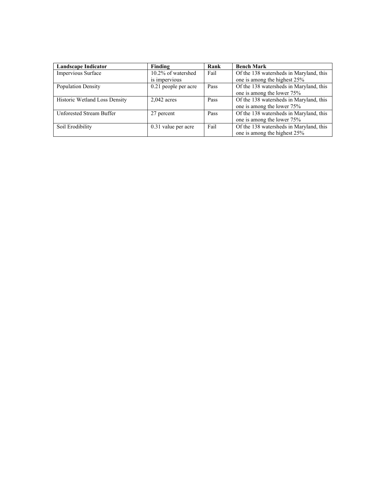| <b>Landscape Indicator</b>           | Finding              | Rank | <b>Bench Mark</b>                       |
|--------------------------------------|----------------------|------|-----------------------------------------|
| Impervious Surface                   | 10.2% of watershed   | Fail | Of the 138 watersheds in Maryland, this |
|                                      | is impervious        |      | one is among the highest 25%            |
| <b>Population Density</b>            | 0.21 people per acre | Pass | Of the 138 watersheds in Maryland, this |
|                                      |                      |      | one is among the lower 75%              |
| <b>Historic Wetland Loss Density</b> | $2.042$ acres        | Pass | Of the 138 watersheds in Maryland, this |
|                                      |                      |      | one is among the lower 75%              |
| Unforested Stream Buffer             | 27 percent           | Pass | Of the 138 watersheds in Maryland, this |
|                                      |                      |      | one is among the lower 75%              |
| Soil Erodibility                     | 0.31 value per acre  | Fail | Of the 138 watersheds in Maryland, this |
|                                      |                      |      | one is among the highest 25%            |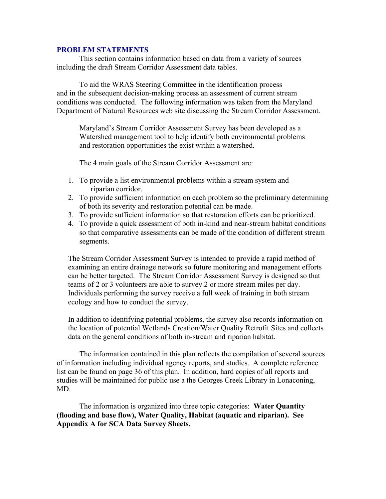#### **PROBLEM STATEMENTS**

 This section contains information based on data from a variety of sources including the draft Stream Corridor Assessment data tables.

To aid the WRAS Steering Committee in the identification process and in the subsequent decision-making process an assessment of current stream conditions was conducted. The following information was taken from the Maryland Department of Natural Resources web site discussing the Stream Corridor Assessment.

Maryland's Stream Corridor Assessment Survey has been developed as a Watershed management tool to help identify both environmental problems and restoration opportunities the exist within a watershed.

The 4 main goals of the Stream Corridor Assessment are:

- 1. To provide a list environmental problems within a stream system and riparian corridor.
- 2. To provide sufficient information on each problem so the preliminary determining of both its severity and restoration potential can be made.
- 3. To provide sufficient information so that restoration efforts can be prioritized.
- 4. To provide a quick assessment of both in-kind and near-stream habitat conditions so that comparative assessments can be made of the condition of different stream segments.

The Stream Corridor Assessment Survey is intended to provide a rapid method of examining an entire drainage network so future monitoring and management efforts can be better targeted. The Stream Corridor Assessment Survey is designed so that teams of 2 or 3 volunteers are able to survey 2 or more stream miles per day. Individuals performing the survey receive a full week of training in both stream ecology and how to conduct the survey.

In addition to identifying potential problems, the survey also records information on the location of potential Wetlands Creation/Water Quality Retrofit Sites and collects data on the general conditions of both in-stream and riparian habitat.

 The information contained in this plan reflects the compilation of several sources of information including individual agency reports, and studies. A complete reference list can be found on page 36 of this plan. In addition, hard copies of all reports and studies will be maintained for public use a the Georges Creek Library in Lonaconing, MD.

 The information is organized into three topic categories: **Water Quantity (flooding and base flow), Water Quality, Habitat (aquatic and riparian). See Appendix A for SCA Data Survey Sheets.**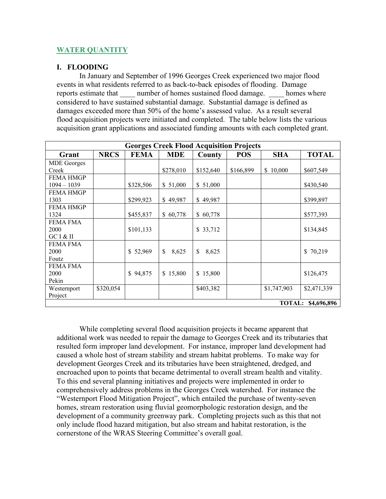# **WATER QUANTITY**

# **I. FLOODING**

In January and September of 1996 Georges Creek experienced two major flood events in what residents referred to as back-to-back episodes of flooding. Damage reports estimate that \_\_\_\_\_ number of homes sustained flood damage. \_\_\_\_\_\_ homes where considered to have sustained substantial damage. Substantial damage is defined as damages exceeded more than 50% of the home's assessed value. As a result several flood acquisition projects were initiated and completed. The table below lists the various acquisition grant applications and associated funding amounts with each completed grant.

| <b>Georges Creek Flood Acquisition Projects</b> |             |             |             |             |            |             |              |
|-------------------------------------------------|-------------|-------------|-------------|-------------|------------|-------------|--------------|
| Grant                                           | <b>NRCS</b> | <b>FEMA</b> | <b>MDE</b>  | County      | <b>POS</b> | <b>SHA</b>  | <b>TOTAL</b> |
| <b>MDE</b> Georges                              |             |             |             |             |            |             |              |
| Creek                                           |             |             | \$278,010   | \$152,640   | \$166,899  | \$10,000    | \$607,549    |
| <b>FEMA HMGP</b>                                |             |             |             |             |            |             |              |
| $1094 - 1039$                                   |             | \$328,506   | \$51,000    | \$51,000    |            |             | \$430,540    |
| <b>FEMA HMGP</b>                                |             |             |             |             |            |             |              |
| 1303                                            |             | \$299,923   | \$49,987    | \$49,987    |            |             | \$399,897    |
| <b>FEMA HMGP</b>                                |             |             |             |             |            |             |              |
| 1324                                            |             | \$455,837   | \$60,778    | \$60,778    |            |             | \$577,393    |
| <b>FEMA FMA</b>                                 |             |             |             |             |            |             |              |
| 2000                                            |             | \$101,133   |             | \$33,712    |            |             | \$134,845    |
| GC I & II                                       |             |             |             |             |            |             |              |
| <b>FEMA FMA</b>                                 |             |             |             |             |            |             |              |
| 2000                                            |             | \$52,969    | \$<br>8,625 | \$<br>8,625 |            |             | \$70,219     |
| Foutz                                           |             |             |             |             |            |             |              |
| <b>FEMA FMA</b>                                 |             |             |             |             |            |             |              |
| 2000                                            |             | \$94,875    | \$15,800    | \$15,800    |            |             | \$126,475    |
| Pekin                                           |             |             |             |             |            |             |              |
| Westernport                                     | \$320,054   |             |             | \$403,382   |            | \$1,747,903 | \$2,471,339  |
| Project                                         |             |             |             |             |            |             |              |
| <b>TOTAL:</b><br>\$4,696,896                    |             |             |             |             |            |             |              |

 While completing several flood acquisition projects it became apparent that additional work was needed to repair the damage to Georges Creek and its tributaries that resulted form improper land development. For instance, improper land development had caused a whole host of stream stability and stream habitat problems. To make way for development Georges Creek and its tributaries have been straightened, dredged, and encroached upon to points that became detrimental to overall stream health and vitality. To this end several planning initiatives and projects were implemented in order to comprehensively address problems in the Georges Creek watershed. For instance the "Westernport Flood Mitigation Project", which entailed the purchase of twenty-seven homes, stream restoration using fluvial geomorphologic restoration design, and the development of a community greenway park. Completing projects such as this that not only include flood hazard mitigation, but also stream and habitat restoration, is the cornerstone of the WRAS Steering Committee's overall goal.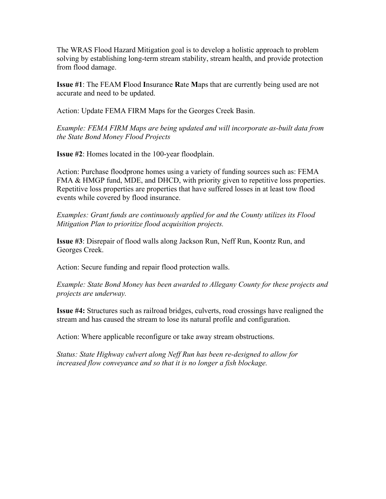The WRAS Flood Hazard Mitigation goal is to develop a holistic approach to problem solving by establishing long-term stream stability, stream health, and provide protection from flood damage.

**Issue #1**: The FEAM **F**lood **I**nsurance **R**ate **M**aps that are currently being used are not accurate and need to be updated.

Action: Update FEMA FIRM Maps for the Georges Creek Basin.

*Example: FEMA FIRM Maps are being updated and will incorporate as-built data from the State Bond Money Flood Projects* 

**Issue #2**: Homes located in the 100-year floodplain.

Action: Purchase floodprone homes using a variety of funding sources such as: FEMA FMA & HMGP fund, MDE, and DHCD, with priority given to repetitive loss properties. Repetitive loss properties are properties that have suffered losses in at least tow flood events while covered by flood insurance.

*Examples: Grant funds are continuously applied for and the County utilizes its Flood Mitigation Plan to prioritize flood acquisition projects.* 

**Issue #3**: Disrepair of flood walls along Jackson Run, Neff Run, Koontz Run, and Georges Creek.

Action: Secure funding and repair flood protection walls.

*Example: State Bond Money has been awarded to Allegany County for these projects and projects are underway.* 

**Issue #4:** Structures such as railroad bridges, culverts, road crossings have realigned the stream and has caused the stream to lose its natural profile and configuration.

Action: Where applicable reconfigure or take away stream obstructions.

*Status: State Highway culvert along Neff Run has been re-designed to allow for increased flow conveyance and so that it is no longer a fish blockage.*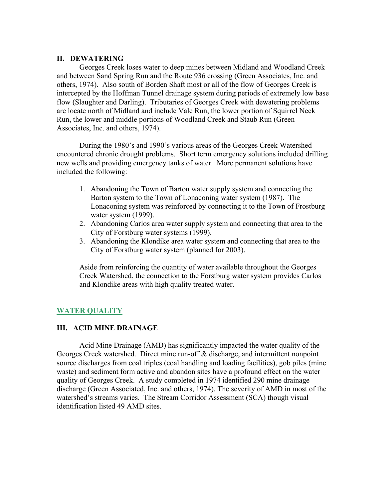#### **II. DEWATERING**

 Georges Creek loses water to deep mines between Midland and Woodland Creek and between Sand Spring Run and the Route 936 crossing (Green Associates, Inc. and others, 1974). Also south of Borden Shaft most or all of the flow of Georges Creek is intercepted by the Hoffman Tunnel drainage system during periods of extremely low base flow (Slaughter and Darling). Tributaries of Georges Creek with dewatering problems are locate north of Midland and include Vale Run, the lower portion of Squirrel Neck Run, the lower and middle portions of Woodland Creek and Staub Run (Green Associates, Inc. and others, 1974).

 During the 1980's and 1990's various areas of the Georges Creek Watershed encountered chronic drought problems. Short term emergency solutions included drilling new wells and providing emergency tanks of water. More permanent solutions have included the following:

- 1. Abandoning the Town of Barton water supply system and connecting the Barton system to the Town of Lonaconing water system (1987). The Lonaconing system was reinforced by connecting it to the Town of Frostburg water system (1999).
- 2. Abandoning Carlos area water supply system and connecting that area to the City of Forstburg water systems (1999).
- 3. Abandoning the Klondike area water system and connecting that area to the City of Forstburg water system (planned for 2003).

Aside from reinforcing the quantity of water available throughout the Georges Creek Watershed, the connection to the Forstburg water system provides Carlos and Klondike areas with high quality treated water.

#### **WATER QUALITY**

#### **III. ACID MINE DRAINAGE**

Acid Mine Drainage (AMD) has significantly impacted the water quality of the Georges Creek watershed. Direct mine run-off & discharge, and intermittent nonpoint source discharges from coal triples (coal handling and loading facilities), gob piles (mine waste) and sediment form active and abandon sites have a profound effect on the water quality of Georges Creek. A study completed in 1974 identified 290 mine drainage discharge (Green Associated, Inc. and others, 1974). The severity of AMD in most of the watershed's streams varies. The Stream Corridor Assessment (SCA) though visual identification listed 49 AMD sites.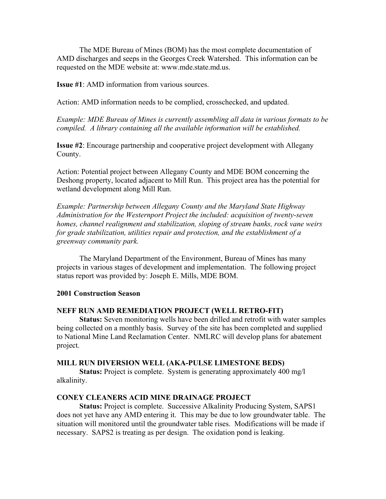The MDE Bureau of Mines (BOM) has the most complete documentation of AMD discharges and seeps in the Georges Creek Watershed. This information can be requested on the MDE website at: www.mde.state.md.us.

**Issue #1**: AMD information from various sources.

Action: AMD information needs to be complied, crosschecked, and updated.

*Example: MDE Bureau of Mines is currently assembling all data in various formats to be compiled. A library containing all the available information will be established.* 

**Issue #2**: Encourage partnership and cooperative project development with Allegany County.

Action: Potential project between Allegany County and MDE BOM concerning the Deshong property, located adjacent to Mill Run. This project area has the potential for wetland development along Mill Run.

*Example: Partnership between Allegany County and the Maryland State Highway Administration for the Westernport Project the included: acquisition of twenty-seven homes, channel realignment and stabilization, sloping of stream banks, rock vane weirs for grade stabilization, utilities repair and protection, and the establishment of a greenway community park.* 

 The Maryland Department of the Environment, Bureau of Mines has many projects in various stages of development and implementation. The following project status report was provided by: Joseph E. Mills, MDE BOM.

#### **2001 Construction Season**

#### **NEFF RUN AMD REMEDIATION PROJECT (WELL RETRO-FIT)**

 **Status:** Seven monitoring wells have been drilled and retrofit with water samples being collected on a monthly basis. Survey of the site has been completed and supplied to National Mine Land Reclamation Center. NMLRC will develop plans for abatement project.

#### **MILL RUN DIVERSION WELL (AKA-PULSE LIMESTONE BEDS)**

**Status:** Project is complete. System is generating approximately 400 mg/l alkalinity.

#### **CONEY CLEANERS ACID MINE DRAINAGE PROJECT**

**Status:** Project is complete. Successive Alkalinity Producing System, SAPS1 does not yet have any AMD entering it. This may be due to low groundwater table. The situation will monitored until the groundwater table rises. Modifications will be made if necessary. SAPS2 is treating as per design. The oxidation pond is leaking.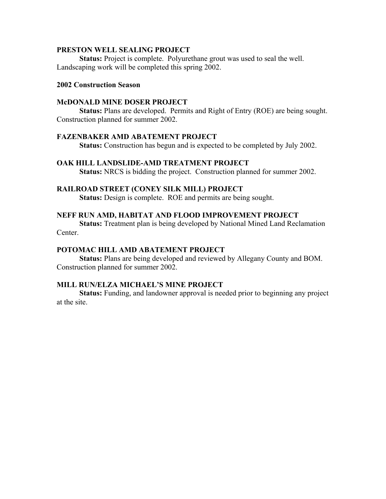#### **PRESTON WELL SEALING PROJECT**

**Status:** Project is complete. Polyurethane grout was used to seal the well. Landscaping work will be completed this spring 2002.

## **2002 Construction Season**

#### **McDONALD MINE DOSER PROJECT**

 **Status:** Plans are developed. Permits and Right of Entry (ROE) are being sought. Construction planned for summer 2002.

#### **FAZENBAKER AMD ABATEMENT PROJECT**

 **Status:** Construction has begun and is expected to be completed by July 2002.

#### **OAK HILL LANDSLIDE-AMD TREATMENT PROJECT**

 **Status:** NRCS is bidding the project. Construction planned for summer 2002.

#### **RAILROAD STREET (CONEY SILK MILL) PROJECT**

 **Status:** Design is complete. ROE and permits are being sought.

#### **NEFF RUN AMD, HABITAT AND FLOOD IMPROVEMENT PROJECT**

 **Status:** Treatment plan is being developed by National Mined Land Reclamation Center.

#### **POTOMAC HILL AMD ABATEMENT PROJECT**

 **Status:** Plans are being developed and reviewed by Allegany County and BOM. Construction planned for summer 2002.

#### **MILL RUN/ELZA MICHAEL'S MINE PROJECT**

 **Status:** Funding, and landowner approval is needed prior to beginning any project at the site.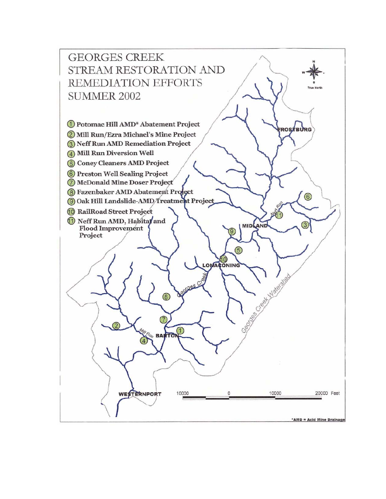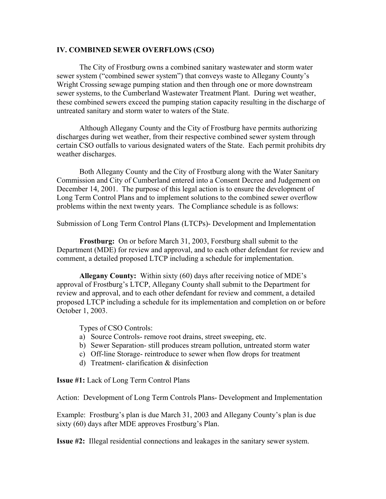#### **IV. COMBINED SEWER OVERFLOWS (CSO)**

The City of Frostburg owns a combined sanitary wastewater and storm water sewer system ("combined sewer system") that conveys waste to Allegany County's Wright Crossing sewage pumping station and then through one or more downstream sewer systems, to the Cumberland Wastewater Treatment Plant. During wet weather, these combined sewers exceed the pumping station capacity resulting in the discharge of untreated sanitary and storm water to waters of the State.

Although Allegany County and the City of Frostburg have permits authorizing discharges during wet weather, from their respective combined sewer system through certain CSO outfalls to various designated waters of the State. Each permit prohibits dry weather discharges.

Both Allegany County and the City of Frostburg along with the Water Sanitary Commission and City of Cumberland entered into a Consent Decree and Judgement on December 14, 2001. The purpose of this legal action is to ensure the development of Long Term Control Plans and to implement solutions to the combined sewer overflow problems within the next twenty years. The Compliance schedule is as follows:

Submission of Long Term Control Plans (LTCPs)- Development and Implementation

**Frostburg:** On or before March 31, 2003, Forstburg shall submit to the Department (MDE) for review and approval, and to each other defendant for review and comment, a detailed proposed LTCP including a schedule for implementation.

**Allegany County:** Within sixty (60) days after receiving notice of MDE's approval of Frostburg's LTCP, Allegany County shall submit to the Department for review and approval, and to each other defendant for review and comment, a detailed proposed LTCP including a schedule for its implementation and completion on or before October 1, 2003.

Types of CSO Controls:

- a) Source Controls- remove root drains, street sweeping, etc.
- b) Sewer Separation- still produces stream pollution, untreated storm water
- c) Off-line Storage- reintroduce to sewer when flow drops for treatment
- d) Treatment- clarification & disinfection

**Issue #1:** Lack of Long Term Control Plans

Action: Development of Long Term Controls Plans- Development and Implementation

Example: Frostburg's plan is due March 31, 2003 and Allegany County's plan is due sixty (60) days after MDE approves Frostburg's Plan.

**Issue #2:** Illegal residential connections and leakages in the sanitary sewer system.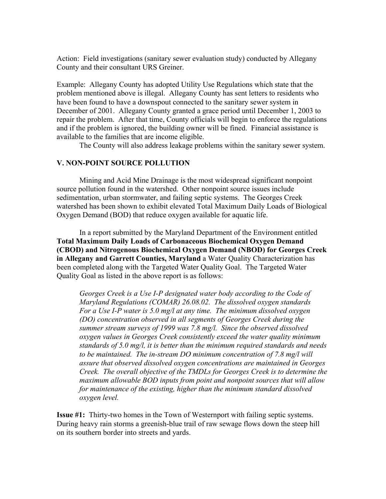Action: Field investigations (sanitary sewer evaluation study) conducted by Allegany County and their consultant URS Greiner.

Example: Allegany County has adopted Utility Use Regulations which state that the problem mentioned above is illegal. Allegany County has sent letters to residents who have been found to have a downspout connected to the sanitary sewer system in December of 2001. Allegany County granted a grace period until December 1, 2003 to repair the problem. After that time, County officials will begin to enforce the regulations and if the problem is ignored, the building owner will be fined. Financial assistance is available to the families that are income eligible.

The County will also address leakage problems within the sanitary sewer system.

# **V. NON-POINT SOURCE POLLUTION**

Mining and Acid Mine Drainage is the most widespread significant nonpoint source pollution found in the watershed. Other nonpoint source issues include sedimentation, urban stormwater, and failing septic systems. The Georges Creek watershed has been shown to exhibit elevated Total Maximum Daily Loads of Biological Oxygen Demand (BOD) that reduce oxygen available for aquatic life.

In a report submitted by the Maryland Department of the Environment entitled **Total Maximum Daily Loads of Carbonaceous Biochemical Oxygen Demand (CBOD) and Nitrogenous Biochemical Oxygen Demand (NBOD) for Georges Creek in Allegany and Garrett Counties, Maryland** a Water Quality Characterization has been completed along with the Targeted Water Quality Goal. The Targeted Water Quality Goal as listed in the above report is as follows:

*Georges Creek is a Use I-P designated water body according to the Code of Maryland Regulations (COMAR) 26.08.02. The dissolved oxygen standards For a Use I-P water is 5.0 mg/l at any time. The minimum dissolved oxygen (DO) concentration observed in all segments of Georges Creek during the summer stream surveys of 1999 was 7.8 mg/l. Since the observed dissolved oxygen values in Georges Creek consistently exceed the water quality minimum standards of 5.0 mg/l, it is better than the minimum required standards and needs to be maintained. The in-stream DO minimum concentration of 7.8 mg/l will assure that observed dissolved oxygen concentrations are maintained in Georges Creek. The overall objective of the TMDLs for Georges Creek is to determine the maximum allowable BOD inputs from point and nonpoint sources that will allow for maintenance of the existing, higher than the minimum standard dissolved oxygen level.* 

**Issue #1:** Thirty-two homes in the Town of Westernport with failing septic systems. During heavy rain storms a greenish-blue trail of raw sewage flows down the steep hill on its southern border into streets and yards.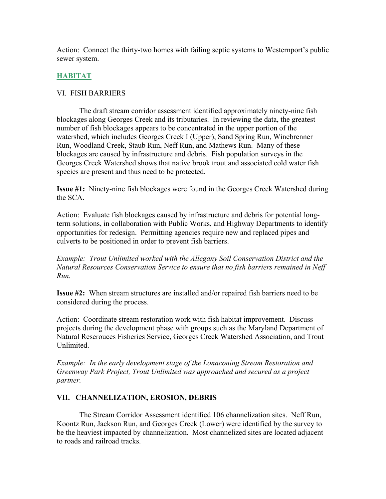Action: Connect the thirty-two homes with failing septic systems to Westernport's public sewer system.

# **HABITAT**

# VI. FISH BARRIERS

 The draft stream corridor assessment identified approximately ninety-nine fish blockages along Georges Creek and its tributaries. In reviewing the data, the greatest number of fish blockages appears to be concentrated in the upper portion of the watershed, which includes Georges Creek I (Upper), Sand Spring Run, Winebrenner Run, Woodland Creek, Staub Run, Neff Run, and Mathews Run. Many of these blockages are caused by infrastructure and debris. Fish population surveys in the Georges Creek Watershed shows that native brook trout and associated cold water fish species are present and thus need to be protected.

**Issue #1:** Ninety-nine fish blockages were found in the Georges Creek Watershed during the SCA.

Action: Evaluate fish blockages caused by infrastructure and debris for potential longterm solutions, in collaboration with Public Works, and Highway Departments to identify opportunities for redesign. Permitting agencies require new and replaced pipes and culverts to be positioned in order to prevent fish barriers.

*Example: Trout Unlimited worked with the Allegany Soil Conservation District and the Natural Resources Conservation Service to ensure that no fish barriers remained in Neff Run.* 

**Issue #2:** When stream structures are installed and/or repaired fish barriers need to be considered during the process.

Action: Coordinate stream restoration work with fish habitat improvement. Discuss projects during the development phase with groups such as the Maryland Department of Natural Reserouces Fisheries Service, Georges Creek Watershed Association, and Trout Unlimited.

*Example: In the early development stage of the Lonaconing Stream Restoration and Greenway Park Project, Trout Unlimited was approached and secured as a project partner.* 

# **VII. CHANNELIZATION, EROSION, DEBRIS**

 The Stream Corridor Assessment identified 106 channelization sites. Neff Run, Koontz Run, Jackson Run, and Georges Creek (Lower) were identified by the survey to be the heaviest impacted by channelization. Most channelized sites are located adjacent to roads and railroad tracks.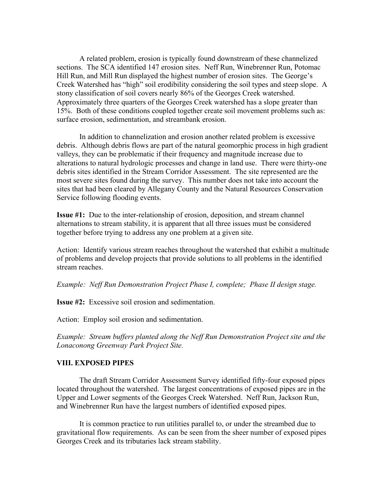A related problem, erosion is typically found downstream of these channelized sections. The SCA identified 147 erosion sites. Neff Run, Winebrenner Run, Potomac Hill Run, and Mill Run displayed the highest number of erosion sites. The George's Creek Watershed has "high" soil erodibility considering the soil types and steep slope. A stony classification of soil covers nearly 86% of the Georges Creek watershed. Approximately three quarters of the Georges Creek watershed has a slope greater than 15%. Both of these conditions coupled together create soil movement problems such as: surface erosion, sedimentation, and streambank erosion.

 In addition to channelization and erosion another related problem is excessive debris. Although debris flows are part of the natural geomorphic process in high gradient valleys, they can be problematic if their frequency and magnitude increase due to alterations to natural hydrologic processes and change in land use. There were thirty-one debris sites identified in the Stream Corridor Assessment. The site represented are the most severe sites found during the survey. This number does not take into account the sites that had been cleared by Allegany County and the Natural Resources Conservation Service following flooding events.

**Issue #1:** Due to the inter-relationship of erosion, deposition, and stream channel alternations to stream stability, it is apparent that all three issues must be considered together before trying to address any one problem at a given site.

Action: Identify various stream reaches throughout the watershed that exhibit a multitude of problems and develop projects that provide solutions to all problems in the identified stream reaches.

*Example: Neff Run Demonstration Project Phase I, complete; Phase II design stage.* 

**Issue #2:** Excessive soil erosion and sedimentation.

Action: Employ soil erosion and sedimentation.

*Example: Stream buffers planted along the Neff Run Demonstration Project site and the Lonaconong Greenway Park Project Site.* 

#### **VIII. EXPOSED PIPES**

 The draft Stream Corridor Assessment Survey identified fifty-four exposed pipes located throughout the watershed. The largest concentrations of exposed pipes are in the Upper and Lower segments of the Georges Creek Watershed. Neff Run, Jackson Run, and Winebrenner Run have the largest numbers of identified exposed pipes.

It is common practice to run utilities parallel to, or under the streambed due to gravitational flow requirements. As can be seen from the sheer number of exposed pipes Georges Creek and its tributaries lack stream stability.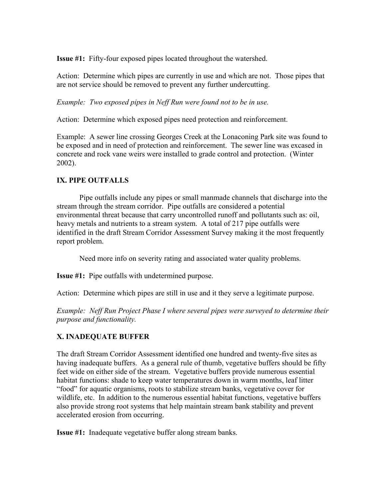**Issue #1:** Fifty-four exposed pipes located throughout the watershed.

Action: Determine which pipes are currently in use and which are not. Those pipes that are not service should be removed to prevent any further undercutting.

*Example: Two exposed pipes in Neff Run were found not to be in use.* 

Action: Determine which exposed pipes need protection and reinforcement.

Example: A sewer line crossing Georges Creek at the Lonaconing Park site was found to be exposed and in need of protection and reinforcement. The sewer line was excased in concrete and rock vane weirs were installed to grade control and protection. (Winter 2002).

# **IX. PIPE OUTFALLS**

Pipe outfalls include any pipes or small manmade channels that discharge into the stream through the stream corridor. Pipe outfalls are considered a potential environmental threat because that carry uncontrolled runoff and pollutants such as: oil, heavy metals and nutrients to a stream system. A total of 217 pipe outfalls were identified in the draft Stream Corridor Assessment Survey making it the most frequently report problem.

Need more info on severity rating and associated water quality problems.

**Issue #1:** Pipe outfalls with undetermined purpose.

Action: Determine which pipes are still in use and it they serve a legitimate purpose.

*Example: Neff Run Project Phase I where several pipes were surveyed to determine their purpose and functionality.* 

# **X. INADEQUATE BUFFER**

The draft Stream Corridor Assessment identified one hundred and twenty-five sites as having inadequate buffers. As a general rule of thumb, vegetative buffers should be fifty feet wide on either side of the stream. Vegetative buffers provide numerous essential habitat functions: shade to keep water temperatures down in warm months, leaf litter "food" for aquatic organisms, roots to stabilize stream banks, vegetative cover for wildlife, etc. In addition to the numerous essential habitat functions, vegetative buffers also provide strong root systems that help maintain stream bank stability and prevent accelerated erosion from occurring.

**Issue #1:** Inadequate vegetative buffer along stream banks.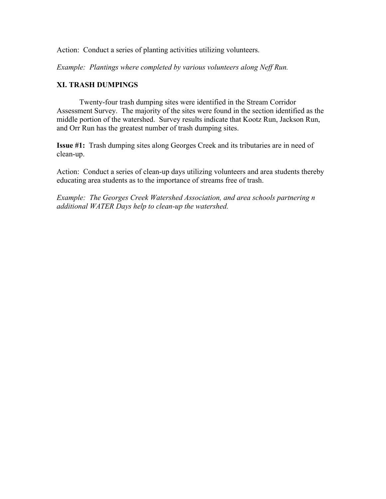Action: Conduct a series of planting activities utilizing volunteers.

*Example: Plantings where completed by various volunteers along Neff Run.* 

#### **XI. TRASH DUMPINGS**

 Twenty-four trash dumping sites were identified in the Stream Corridor Assessment Survey. The majority of the sites were found in the section identified as the middle portion of the watershed. Survey results indicate that Kootz Run, Jackson Run, and Orr Run has the greatest number of trash dumping sites.

**Issue #1:** Trash dumping sites along Georges Creek and its tributaries are in need of clean-up.

Action: Conduct a series of clean-up days utilizing volunteers and area students thereby educating area students as to the importance of streams free of trash.

*Example: The Georges Creek Watershed Association, and area schools partnering n additional WATER Days help to clean-up the watershed.*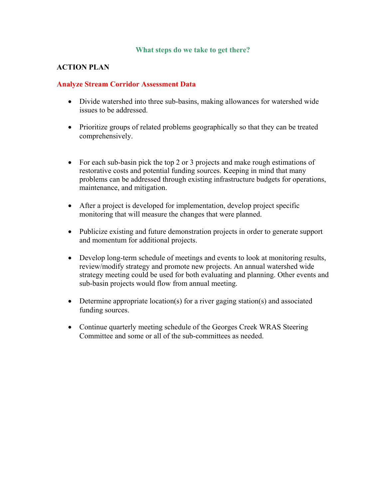#### **What steps do we take to get there?**

# **ACTION PLAN**

#### **Analyze Stream Corridor Assessment Data**

- Divide watershed into three sub-basins, making allowances for watershed wide issues to be addressed.
- Prioritize groups of related problems geographically so that they can be treated comprehensively.
- For each sub-basin pick the top 2 or 3 projects and make rough estimations of restorative costs and potential funding sources. Keeping in mind that many problems can be addressed through existing infrastructure budgets for operations, maintenance, and mitigation.
- After a project is developed for implementation, develop project specific monitoring that will measure the changes that were planned.
- Publicize existing and future demonstration projects in order to generate support and momentum for additional projects.
- Develop long-term schedule of meetings and events to look at monitoring results, review/modify strategy and promote new projects. An annual watershed wide strategy meeting could be used for both evaluating and planning. Other events and sub-basin projects would flow from annual meeting.
- Determine appropriate location(s) for a river gaging station(s) and associated funding sources.
- Continue quarterly meeting schedule of the Georges Creek WRAS Steering Committee and some or all of the sub-committees as needed.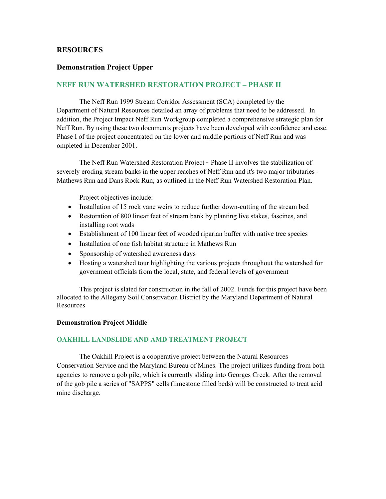#### **RESOURCES**

#### **Demonstration Project Upper**

#### **NEFF RUN WATERSHED RESTORATION PROJECT – PHASE II**

The Neff Run 1999 Stream Corridor Assessment (SCA) completed by the Department of Natural Resources detailed an array of problems that need to be addressed. In addition, the Project Impact Neff Run Workgroup completed a comprehensive strategic plan for Neff Run. By using these two documents projects have been developed with confidence and ease. Phase I of the project concentrated on the lower and middle portions of Neff Run and was ompleted in December 2001.

The Neff Run Watershed Restoration Project - Phase II involves the stabilization of severely eroding stream banks in the upper reaches of Neff Run and it's two major tributaries - Mathews Run and Dans Rock Run, as outlined in the Neff Run Watershed Restoration Plan.

Project objectives include:

- Installation of 15 rock vane weirs to reduce further down-cutting of the stream bed
- Restoration of 800 linear feet of stream bank by planting live stakes, fascines, and installing root wads
- Establishment of 100 linear feet of wooded riparian buffer with native tree species
- Installation of one fish habitat structure in Mathews Run
- Sponsorship of watershed awareness days
- Hosting a watershed tour highlighting the various projects throughout the watershed for government officials from the local, state, and federal levels of government

This project is slated for construction in the fall of 2002. Funds for this project have been allocated to the Allegany Soil Conservation District by the Maryland Department of Natural **Resources** 

#### **Demonstration Project Middle**

#### **OAKHILL LANDSLIDE AND AMD TREATMENT PROJECT**

The Oakhill Project is a cooperative project between the Natural Resources Conservation Service and the Maryland Bureau of Mines. The project utilizes funding from both agencies to remove a gob pile, which is currently sliding into Georges Creek. After the removal of the gob pile a series of "SAPPS" cells (limestone filled beds) will be constructed to treat acid mine discharge.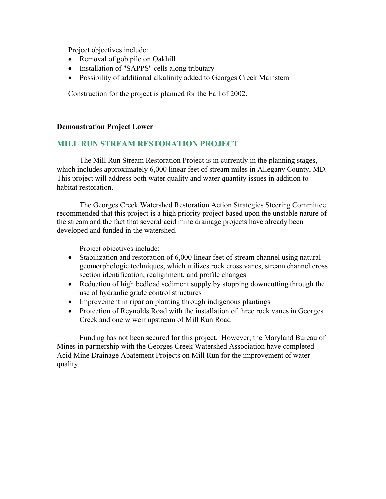Project objectives include:

- Removal of gob pile on Oakhill
- Installation of "SAPPS" cells along tributary
- Possibility of additional alkalinity added to Georges Creek Mainstem

Construction for the project is planned for the Fall of 2002.

# **Demonstration Project Lower**

# **MILL RUN STREAM RESTORATION PROJECT**

The Mill Run Stream Restoration Project is in currently in the planning stages, which includes approximately 6,000 linear feet of stream miles in Allegany County, MD. This project will address both water quality and water quantity issues in addition to habitat restoration.

The Georges Creek Watershed Restoration Action Strategies Steering Committee recommended that this project is a high priority project based upon the unstable nature of the stream and the fact that several acid mine drainage projects have already been developed and funded in the watershed.

Project objectives include:

- Stabilization and restoration of 6,000 linear feet of stream channel using natural geomorphologic techniques, which utilizes rock cross vanes, stream channel cross section identification, realignment, and profile changes
- Reduction of high bedload sediment supply by stopping downcutting through the use of hydraulic grade control structures
- Improvement in riparian planting through indigenous plantings
- Protection of Reynolds Road with the installation of three rock vanes in Georges Creek and one w weir upstream of Mill Run Road

Funding has not been secured for this project. However, the Maryland Bureau of Mines in partnership with the Georges Creek Watershed Association have completed Acid Mine Drainage Abatement Projects on Mill Run for the improvement of water quality.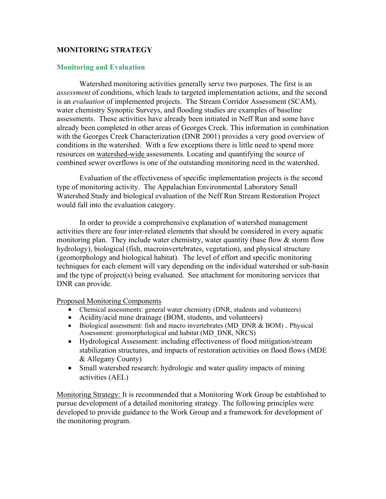# **MONITORING STRATEGY**

## **Monitoring and Evaluation**

Watershed monitoring activities generally serve two purposes. The first is an *assessment* of conditions, which leads to targeted implementation actions, and the second is an *evaluation* of implemented projects. The Stream Corridor Assessment (SCAM), water chemistry Synoptic Surveys, and flooding studies are examples of baseline assessments. These activities have already been initiated in Neff Run and some have already been completed in other areas of Georges Creek. This information in combination with the Georges Creek Characterization (DNR 2001) provides a very good overview of conditions in the watershed. With a few exceptions there is little need to spend more resources on watershed-wide assessments. Locating and quantifying the source of combined sewer overflows is one of the outstanding monitoring need in the watershed.

Evaluation of the effectiveness of specific implementation projects is the second type of monitoring activity. The Appalachian Environmental Laboratory Small Watershed Study and biological evaluation of the Neff Run Stream Restoration Project would fall into the evaluation category.

In order to provide a comprehensive explanation of watershed management activities there are four inter-related elements that should be considered in every aquatic monitoring plan. They include water chemistry, water quantity (base flow  $\&$  storm flow hydrology), biological (fish, macroinvertebrates, vegetation), and physical structure (geomorphology and biological habitat). The level of effort and specific monitoring techniques for each element will vary depending on the individual watershed or sub-basin and the type of project(s) being evaluated. See attachment for monitoring services that DNR can provide.

Proposed Monitoring Components

- Chemical assessments: general water chemistry (DNR, students and volunteers)
- Acidity/acid mine drainage (BOM, students, and volunteers)
- Biological assessment: fish and macro invertebrates (MD\_DNR & BOM) . Physical Assessment: geomorphological and habitat (MD\_DNR, NRCS)
- Hydrological Assessment: including effectiveness of flood mitigation/stream stabilization structures, and impacts of restoration activities on flood flows (MDE & Allegany County)
- Small watershed research: hydrologic and water quality impacts of mining activities (AEL)

Monitoring Strategy: It is recommended that a Monitoring Work Group be established to pursue development of a detailed monitoring strategy. The following principles were developed to provide guidance to the Work Group and a framework for development of the monitoring program.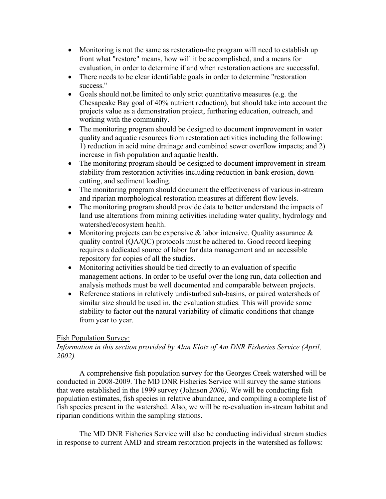- Monitoring is not the same as restoration-the program will need to establish up front what "restore" means, how will it be accomplished, and a means for evaluation, in order to determine if and when restoration actions are successful.
- There needs to be clear identifiable goals in order to determine "restoration" success."
- Goals should not.be limited to only strict quantitative measures (e.g. the Chesapeake Bay goal of 40% nutrient reduction), but should take into account the projects value as a demonstration project, furthering education, outreach, and working with the community.
- The monitoring program should be designed to document improvement in water quality and aquatic resources from restoration activities including the following: 1) reduction in acid mine drainage and combined sewer overflow impacts; and 2) increase in fish population and aquatic health.
- The monitoring program should be designed to document improvement in stream stability from restoration activities including reduction in bank erosion, downcutting, and sediment loading.
- The monitoring program should document the effectiveness of various in-stream and riparian morphological restoration measures at different flow levels.
- The monitoring program should provide data to better understand the impacts of land use alterations from mining activities including water quality, hydrology and watershed/ecosystem health.
- Monitoring projects can be expensive  $\&$  labor intensive. Quality assurance  $\&$ quality control (QA/QC) protocols must be adhered to. Good record keeping requires a dedicated source of labor for data management and an accessible repository for copies of all the studies.
- Monitoring activities should be tied directly to an evaluation of specific management actions. In order to be useful over the long run, data collection and analysis methods must be well documented and comparable between projects.
- Reference stations in relatively undisturbed sub-basins, or paired watersheds of similar size should be used in. the evaluation studies. This will provide some stability to factor out the natural variability of climatic conditions that change from year to year.

# Fish Population Survey:

# *Information in this section provided by Alan Klotz of Am DNR Fisheries Service (April, 2002).*

A comprehensive fish population survey for the Georges Creek watershed will be conducted in 2008-2009. The MD DNR Fisheries Service will survey the same stations that were established in the 1999 survey (Johnson *2000).* We will be conducting fish population estimates, fish species in relative abundance, and compiling a complete list of fish species present in the watershed. Also, we will be re-evaluation in-stream habitat and riparian conditions within the sampling stations.

The MD DNR Fisheries Service will also be conducting individual stream studies in response to current AMD and stream restoration projects in the watershed as follows: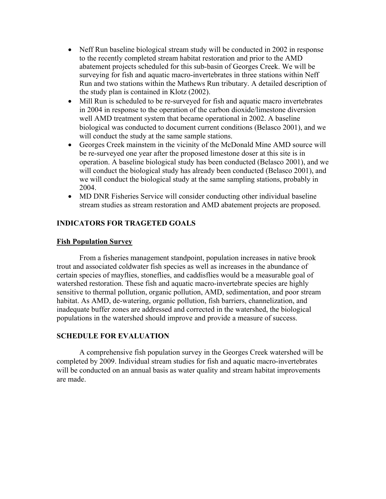- Neff Run baseline biological stream study will be conducted in 2002 in response to the recently completed stream habitat restoration and prior to the AMD abatement projects scheduled for this sub-basin of Georges Creek. We will be surveying for fish and aquatic macro-invertebrates in three stations within Neff Run and two stations within the Mathews Run tributary. A detailed description of the study plan is contained in Klotz (2002).
- Mill Run is scheduled to be re-surveyed for fish and aquatic macro invertebrates in 2004 in response to the operation of the carbon dioxide/limestone diversion well AMD treatment system that became operational in 2002. A baseline biological was conducted to document current conditions (Belasco 2001), and we will conduct the study at the same sample stations.
- Georges Creek mainstem in the vicinity of the McDonald Mine AMD source will be re-surveyed one year after the proposed limestone doser at this site is in operation. A baseline biological study has been conducted (Belasco 2001), and we will conduct the biological study has already been conducted (Belasco 2001), and we will conduct the biological study at the same sampling stations, probably in 2004.
- MD DNR Fisheries Service will consider conducting other individual baseline stream studies as stream restoration and AMD abatement projects are proposed.

# **INDICATORS FOR TRAGETED GOALS**

## **Fish Population Survey**

From a fisheries management standpoint, population increases in native brook trout and associated coldwater fish species as well as increases in the abundance of certain species of mayflies, stoneflies, and caddisflies would be a measurable goal of watershed restoration. These fish and aquatic macro-invertebrate species are highly sensitive to thermal pollution, organic pollution, AMD, sedimentation, and poor stream habitat. As AMD, de-watering, organic pollution, fish barriers, channelization, and inadequate buffer zones are addressed and corrected in the watershed, the biological populations in the watershed should improve and provide a measure of success.

# **SCHEDULE FOR EVALUATION**

A comprehensive fish population survey in the Georges Creek watershed will be completed by 2009. Individual stream studies for fish and aquatic macro-invertebrates will be conducted on an annual basis as water quality and stream habitat improvements are made.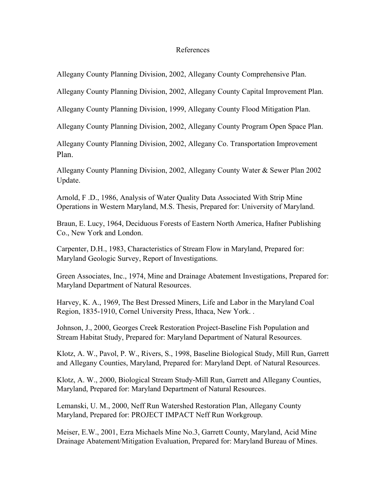#### References

Allegany County Planning Division, 2002, Allegany County Comprehensive Plan.

Allegany County Planning Division, 2002, Allegany County Capital Improvement Plan.

Allegany County Planning Division, 1999, Allegany County Flood Mitigation Plan.

Allegany County Planning Division, 2002, Allegany County Program Open Space Plan.

Allegany County Planning Division, 2002, Allegany Co. Transportation Improvement Plan.

Allegany County Planning Division, 2002, Allegany County Water & Sewer Plan 2002 Update.

Arnold, F .D., 1986, Analysis of Water Quality Data Associated With Strip Mine Operations in Western Maryland, M.S. Thesis, Prepared for: University of Maryland.

Braun, E. Lucy, 1964, Deciduous Forests of Eastern North America, Hafner Publishing Co., New York and London.

Carpenter, D.H., 1983, Characteristics of Stream Flow in Maryland, Prepared for: Maryland Geologic Survey, Report of Investigations.

Green Associates, Inc., 1974, Mine and Drainage Abatement Investigations, Prepared for: Maryland Department of Natural Resources.

Harvey, K. A., 1969, The Best Dressed Miners, Life and Labor in the Maryland Coal Region, 1835-1910, Cornel University Press, Ithaca, New York. .

Johnson, J., 2000, Georges Creek Restoration Project-Baseline Fish Population and Stream Habitat Study, Prepared for: Maryland Department of Natural Resources.

Klotz, A. W., Pavol, P. W., Rivers, S., 1998, Baseline Biological Study, Mill Run, Garrett and Allegany Counties, Maryland, Prepared for: Maryland Dept. of Natural Resources.

Klotz, A. W., 2000, Biological Stream Study-Mill Run, Garrett and Allegany Counties, Maryland, Prepared for: Maryland Department of Natural Resources.

Lemanski, U. M., 2000, Neff Run Watershed Restoration Plan, Allegany County Maryland, Prepared for: PROJECT IMPACT Neff Run Workgroup.

Meiser, E.W., 2001, Ezra Michaels Mine No.3, Garrett County, Maryland, Acid Mine Drainage Abatement/Mitigation Evaluation, Prepared for: Maryland Bureau of Mines.